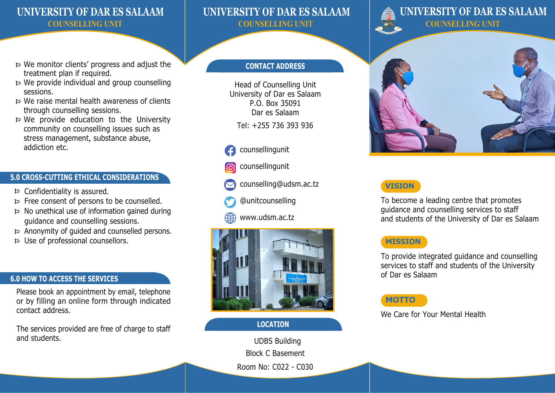- $\gg$  We monitor clients' progress and adjust the treatment plan if required.
- $\gg$  We provide individual and group counselling sessions.
- $\triangleright$  We raise mental health awareness of clients through counselling sessions.
- $\gg$  We provide education to the University community on counselling issues such as stress management, substance abuse, addiction etc.

### **5.0 CROSS-CUTTING ETHICAL CONSIDERATIONS**

- $\triangleright$  Confidentiality is assured.
- $\gg$  Free consent of persons to be counselled.
- $\gg$  No unethical use of information gained during guidance and counselling sessions.
- $\gg$  Anonymity of guided and counselled persons.
- $\triangleright$  Use of professional counsellors.

#### **6.0 HOW TO ACCESS THE SERVICES**

Please book an appointment by email, telephone or by filling an online form through indicated contact address.

The services provided are free of charge to staff and students.

### **UNIVERSITY OF DAR ES SALAAM UNIVERSITY OF DAR ES SALAAM COUNSELLING UNIT COUNSELLING UNIT COUNSELLING UNIT**

### **CONTACT ADDRESS**

Head of Counselling Unit University of Dar es Salaam P.O. Box 35091 Dar es Salaam Tel: +255 736 393 936

counsellingunit



- counsellingunit
- counselling@udsm.ac.tz
- @unitcounselling
- www.udsm.ac.tz



### **LOCATION**

UDBS Building Block C Basement

# **UNIVERSITY OF DAR ES SALAAM**



### **VISION**

To become a leading centre that promotes guidance and counselling services to staff and students of the University of Dar es Salaam

### **MISSION**

To provide integrated guidance and counselling services to staff and students of the University of Dar es Salaam

### **MOTTO**

We Care for Your Mental Health

Room No: C022 - C030